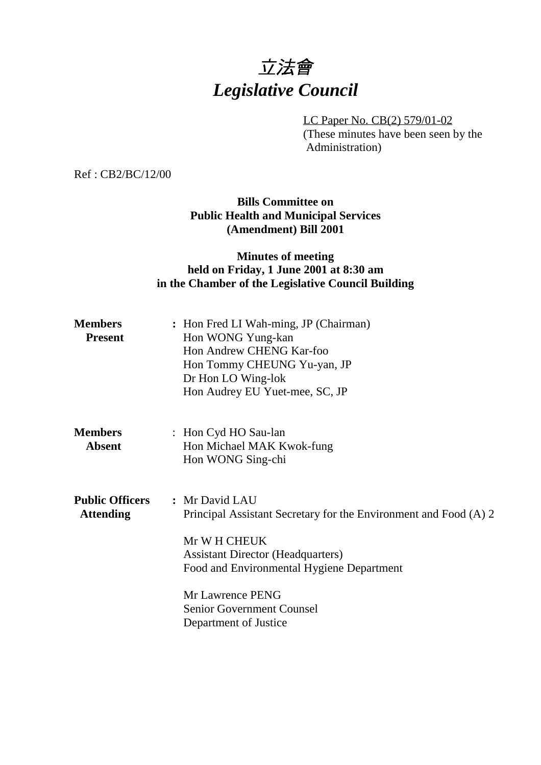# 立法會 *Legislative Council*

LC Paper No. CB(2) 579/01-02 (These minutes have been seen by the Administration)

Ref : CB2/BC/12/00

## **Bills Committee on Public Health and Municipal Services (Amendment) Bill 2001**

## **Minutes of meeting held on Friday, 1 June 2001 at 8:30 am in the Chamber of the Legislative Council Building**

| <b>Members</b><br><b>Present</b>           | : Hon Fred LI Wah-ming, JP (Chairman)<br>Hon WONG Yung-kan<br>Hon Andrew CHENG Kar-foo<br>Hon Tommy CHEUNG Yu-yan, JP<br>Dr Hon LO Wing-lok<br>Hon Audrey EU Yuet-mee, SC, JP                                                                                         |
|--------------------------------------------|-----------------------------------------------------------------------------------------------------------------------------------------------------------------------------------------------------------------------------------------------------------------------|
| <b>Members</b><br><b>Absent</b>            | : Hon Cyd HO Sau-lan<br>Hon Michael MAK Kwok-fung<br>Hon WONG Sing-chi                                                                                                                                                                                                |
| <b>Public Officers</b><br><b>Attending</b> | : Mr David LAU<br>Principal Assistant Secretary for the Environment and Food (A) 2<br>Mr W H CHEUK<br><b>Assistant Director (Headquarters)</b><br>Food and Environmental Hygiene Department<br>Mr Lawrence PENG<br>Senior Government Counsel<br>Department of Justice |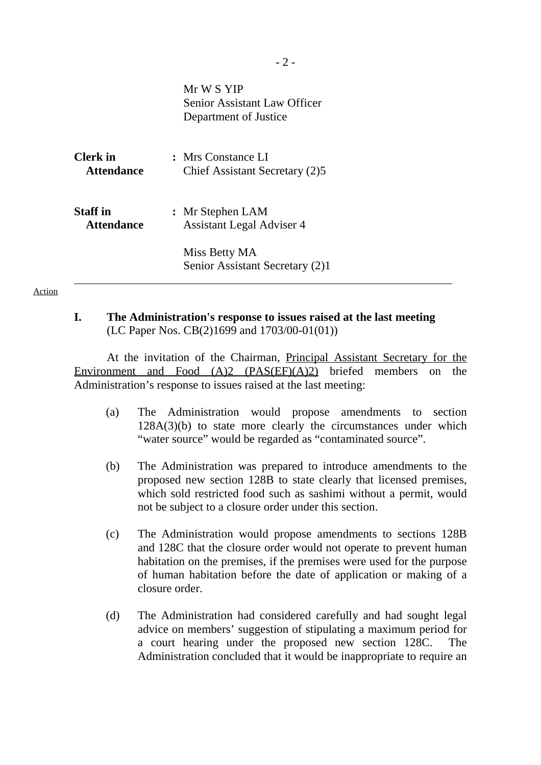|                                      | Mr W S YIP<br>Senior Assistant Law Officer<br>Department of Justice |
|--------------------------------------|---------------------------------------------------------------------|
| <b>Clerk</b> in<br><b>Attendance</b> | : Mrs Constance LI<br>Chief Assistant Secretary (2)5                |
| <b>Staff</b> in<br><b>Attendance</b> | : Mr Stephen LAM<br><b>Assistant Legal Adviser 4</b>                |
|                                      | Miss Betty MA<br>Senior Assistant Secretary (2)1                    |
|                                      |                                                                     |

#### Action

#### **I. The Administration's response to issues raised at the last meeting** (LC Paper Nos. CB(2)1699 and 1703/00-01(01))

At the invitation of the Chairman, Principal Assistant Secretary for the Environment and Food (A)2 (PAS(EF)(A)2) briefed members on the Administration's response to issues raised at the last meeting:

- (a) The Administration would propose amendments to section 128A(3)(b) to state more clearly the circumstances under which "water source" would be regarded as "contaminated source".
- (b) The Administration was prepared to introduce amendments to the proposed new section 128B to state clearly that licensed premises, which sold restricted food such as sashimi without a permit, would not be subject to a closure order under this section.
- (c) The Administration would propose amendments to sections 128B and 128C that the closure order would not operate to prevent human habitation on the premises, if the premises were used for the purpose of human habitation before the date of application or making of a closure order.
- (d) The Administration had considered carefully and had sought legal advice on members' suggestion of stipulating a maximum period for a court hearing under the proposed new section 128C. The Administration concluded that it would be inappropriate to require an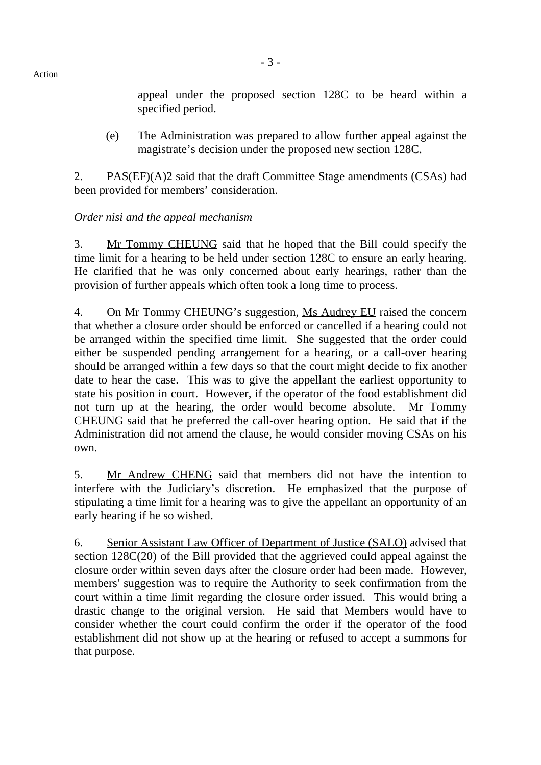appeal under the proposed section 128C to be heard within a specified period.

(e) The Administration was prepared to allow further appeal against the magistrate's decision under the proposed new section 128C.

2. PAS $(EF)(A)$ <sup>2</sup> said that the draft Committee Stage amendments  $(CSAs)$  had been provided for members' consideration.

## *Order nisi and the appeal mechanism*

3. Mr Tommy CHEUNG said that he hoped that the Bill could specify the time limit for a hearing to be held under section 128C to ensure an early hearing. He clarified that he was only concerned about early hearings, rather than the provision of further appeals which often took a long time to process.

4. On Mr Tommy CHEUNG's suggestion, Ms Audrey EU raised the concern that whether a closure order should be enforced or cancelled if a hearing could not be arranged within the specified time limit. She suggested that the order could either be suspended pending arrangement for a hearing, or a call-over hearing should be arranged within a few days so that the court might decide to fix another date to hear the case. This was to give the appellant the earliest opportunity to state his position in court. However, if the operator of the food establishment did not turn up at the hearing, the order would become absolute. Mr Tommy CHEUNG said that he preferred the call-over hearing option. He said that if the Administration did not amend the clause, he would consider moving CSAs on his own.

5. Mr Andrew CHENG said that members did not have the intention to interfere with the Judiciary's discretion. He emphasized that the purpose of stipulating a time limit for a hearing was to give the appellant an opportunity of an early hearing if he so wished.

6. Senior Assistant Law Officer of Department of Justice (SALO) advised that section 128C(20) of the Bill provided that the aggrieved could appeal against the closure order within seven days after the closure order had been made. However, members' suggestion was to require the Authority to seek confirmation from the court within a time limit regarding the closure order issued. This would bring a drastic change to the original version. He said that Members would have to consider whether the court could confirm the order if the operator of the food establishment did not show up at the hearing or refused to accept a summons for that purpose.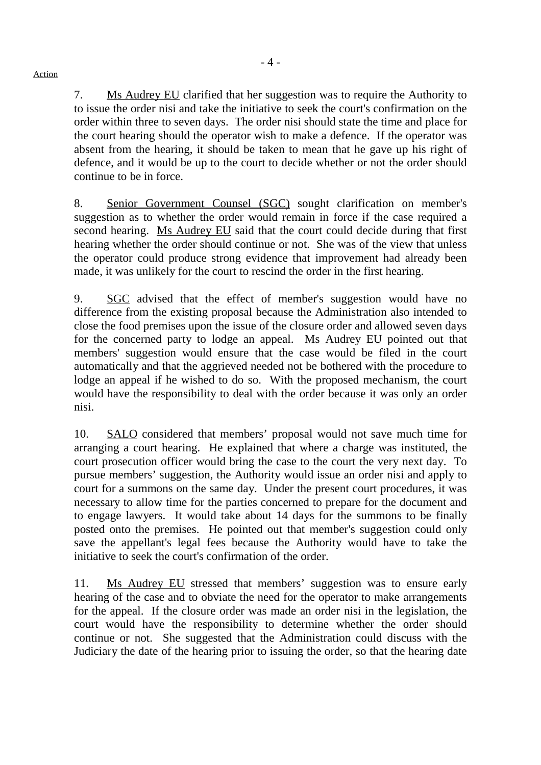7. Ms Audrey EU clarified that her suggestion was to require the Authority to to issue the order nisi and take the initiative to seek the court's confirmation on the order within three to seven days. The order nisi should state the time and place for the court hearing should the operator wish to make a defence. If the operator was absent from the hearing, it should be taken to mean that he gave up his right of defence, and it would be up to the court to decide whether or not the order should continue to be in force.

8. Senior Government Counsel (SGC) sought clarification on member's suggestion as to whether the order would remain in force if the case required a second hearing. Ms Audrey EU said that the court could decide during that first hearing whether the order should continue or not. She was of the view that unless the operator could produce strong evidence that improvement had already been made, it was unlikely for the court to rescind the order in the first hearing.

9. SGC advised that the effect of member's suggestion would have no difference from the existing proposal because the Administration also intended to close the food premises upon the issue of the closure order and allowed seven days for the concerned party to lodge an appeal. Ms Audrey EU pointed out that members' suggestion would ensure that the case would be filed in the court automatically and that the aggrieved needed not be bothered with the procedure to lodge an appeal if he wished to do so. With the proposed mechanism, the court would have the responsibility to deal with the order because it was only an order nisi.

10. SALO considered that members' proposal would not save much time for arranging a court hearing. He explained that where a charge was instituted, the court prosecution officer would bring the case to the court the very next day. To pursue members' suggestion, the Authority would issue an order nisi and apply to court for a summons on the same day. Under the present court procedures, it was necessary to allow time for the parties concerned to prepare for the document and to engage lawyers. It would take about 14 days for the summons to be finally posted onto the premises. He pointed out that member's suggestion could only save the appellant's legal fees because the Authority would have to take the initiative to seek the court's confirmation of the order.

11. Ms Audrey EU stressed that members' suggestion was to ensure early hearing of the case and to obviate the need for the operator to make arrangements for the appeal. If the closure order was made an order nisi in the legislation, the court would have the responsibility to determine whether the order should continue or not. She suggested that the Administration could discuss with the Judiciary the date of the hearing prior to issuing the order, so that the hearing date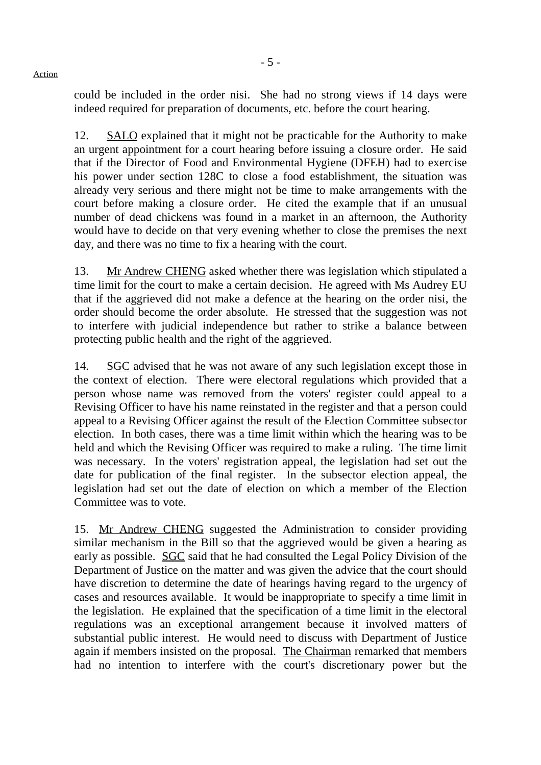could be included in the order nisi. She had no strong views if 14 days were indeed required for preparation of documents, etc. before the court hearing.

12. SALO explained that it might not be practicable for the Authority to make an urgent appointment for a court hearing before issuing a closure order. He said that if the Director of Food and Environmental Hygiene (DFEH) had to exercise his power under section 128C to close a food establishment, the situation was already very serious and there might not be time to make arrangements with the court before making a closure order. He cited the example that if an unusual number of dead chickens was found in a market in an afternoon, the Authority would have to decide on that very evening whether to close the premises the next day, and there was no time to fix a hearing with the court.

13. Mr Andrew CHENG asked whether there was legislation which stipulated a time limit for the court to make a certain decision. He agreed with Ms Audrey EU that if the aggrieved did not make a defence at the hearing on the order nisi, the order should become the order absolute. He stressed that the suggestion was not to interfere with judicial independence but rather to strike a balance between protecting public health and the right of the aggrieved.

14. SGC advised that he was not aware of any such legislation except those in the context of election. There were electoral regulations which provided that a person whose name was removed from the voters' register could appeal to a Revising Officer to have his name reinstated in the register and that a person could appeal to a Revising Officer against the result of the Election Committee subsector election. In both cases, there was a time limit within which the hearing was to be held and which the Revising Officer was required to make a ruling. The time limit was necessary. In the voters' registration appeal, the legislation had set out the date for publication of the final register. In the subsector election appeal, the legislation had set out the date of election on which a member of the Election Committee was to vote.

15. Mr Andrew CHENG suggested the Administration to consider providing similar mechanism in the Bill so that the aggrieved would be given a hearing as early as possible. SGC said that he had consulted the Legal Policy Division of the Department of Justice on the matter and was given the advice that the court should have discretion to determine the date of hearings having regard to the urgency of cases and resources available. It would be inappropriate to specify a time limit in the legislation. He explained that the specification of a time limit in the electoral regulations was an exceptional arrangement because it involved matters of substantial public interest. He would need to discuss with Department of Justice again if members insisted on the proposal. The Chairman remarked that members had no intention to interfere with the court's discretionary power but the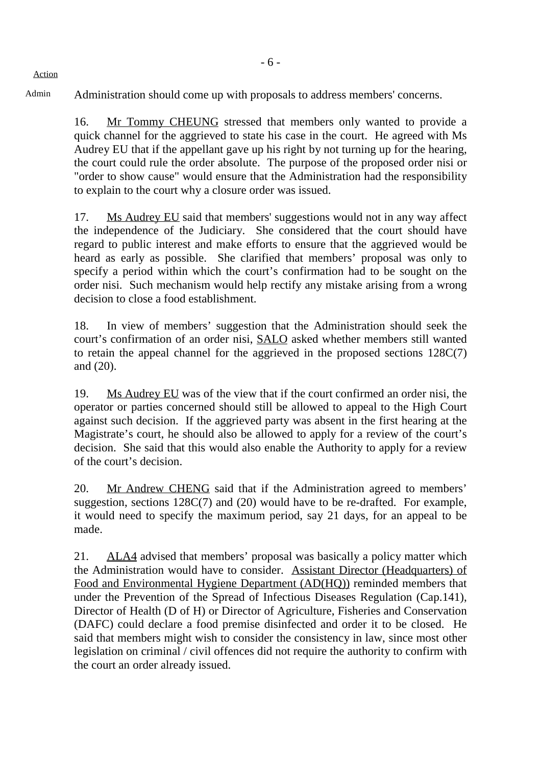Action

Admin Administration should come up with proposals to address members' concerns.

16. Mr Tommy CHEUNG stressed that members only wanted to provide a quick channel for the aggrieved to state his case in the court. He agreed with Ms Audrey EU that if the appellant gave up his right by not turning up for the hearing, the court could rule the order absolute. The purpose of the proposed order nisi or "order to show cause" would ensure that the Administration had the responsibility to explain to the court why a closure order was issued.

17. Ms Audrey EU said that members' suggestions would not in any way affect the independence of the Judiciary. She considered that the court should have regard to public interest and make efforts to ensure that the aggrieved would be heard as early as possible. She clarified that members' proposal was only to specify a period within which the court's confirmation had to be sought on the order nisi. Such mechanism would help rectify any mistake arising from a wrong decision to close a food establishment.

18. In view of members' suggestion that the Administration should seek the court's confirmation of an order nisi, SALO asked whether members still wanted to retain the appeal channel for the aggrieved in the proposed sections 128C(7) and (20).

19. Ms Audrey EU was of the view that if the court confirmed an order nisi, the operator or parties concerned should still be allowed to appeal to the High Court against such decision. If the aggrieved party was absent in the first hearing at the Magistrate's court, he should also be allowed to apply for a review of the court's decision. She said that this would also enable the Authority to apply for a review of the court's decision.

20. Mr Andrew CHENG said that if the Administration agreed to members' suggestion, sections 128C(7) and (20) would have to be re-drafted. For example, it would need to specify the maximum period, say 21 days, for an appeal to be made.

21. ALA4 advised that members' proposal was basically a policy matter which the Administration would have to consider. Assistant Director (Headquarters) of Food and Environmental Hygiene Department (AD(HQ)) reminded members that under the Prevention of the Spread of Infectious Diseases Regulation (Cap.141), Director of Health (D of H) or Director of Agriculture, Fisheries and Conservation (DAFC) could declare a food premise disinfected and order it to be closed. He said that members might wish to consider the consistency in law, since most other legislation on criminal / civil offences did not require the authority to confirm with the court an order already issued.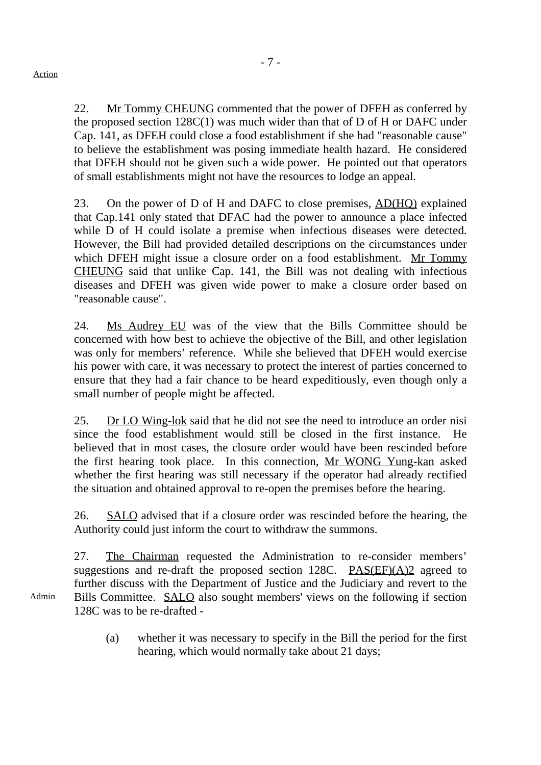Admin

- 7 -

22. Mr Tommy CHEUNG commented that the power of DFEH as conferred by the proposed section  $128C(1)$  was much wider than that of D of H or DAFC under Cap. 141, as DFEH could close a food establishment if she had "reasonable cause" to believe the establishment was posing immediate health hazard. He considered that DFEH should not be given such a wide power. He pointed out that operators of small establishments might not have the resources to lodge an appeal.

23. On the power of D of H and DAFC to close premises, AD(HO) explained that Cap.141 only stated that DFAC had the power to announce a place infected while D of H could isolate a premise when infectious diseases were detected. However, the Bill had provided detailed descriptions on the circumstances under which DFEH might issue a closure order on a food establishment. Mr Tommy CHEUNG said that unlike Cap. 141, the Bill was not dealing with infectious diseases and DFEH was given wide power to make a closure order based on "reasonable cause".

24. Ms Audrey EU was of the view that the Bills Committee should be concerned with how best to achieve the objective of the Bill, and other legislation was only for members' reference. While she believed that DFEH would exercise his power with care, it was necessary to protect the interest of parties concerned to ensure that they had a fair chance to be heard expeditiously, even though only a small number of people might be affected.

25. Dr LO Wing-lok said that he did not see the need to introduce an order nisi since the food establishment would still be closed in the first instance. He believed that in most cases, the closure order would have been rescinded before the first hearing took place. In this connection, Mr WONG Yung-kan asked whether the first hearing was still necessary if the operator had already rectified the situation and obtained approval to re-open the premises before the hearing.

26. SALO advised that if a closure order was rescinded before the hearing, the Authority could just inform the court to withdraw the summons.

27. The Chairman requested the Administration to re-consider members' suggestions and re-draft the proposed section 128C.  $PAS(EF)(A)2$  agreed to further discuss with the Department of Justice and the Judiciary and revert to the Bills Committee. SALO also sought members' views on the following if section 128C was to be re-drafted -

(a) whether it was necessary to specify in the Bill the period for the first hearing, which would normally take about 21 days;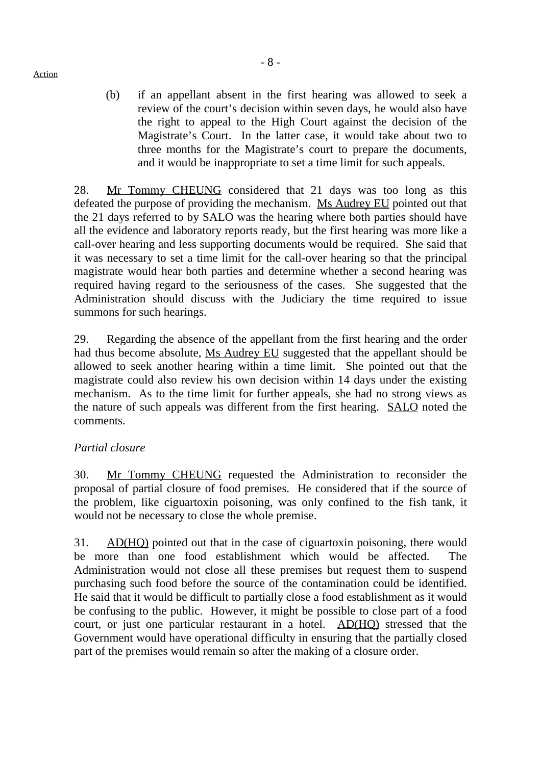Action

- 8 -
- (b) if an appellant absent in the first hearing was allowed to seek a review of the court's decision within seven days, he would also have the right to appeal to the High Court against the decision of the Magistrate's Court. In the latter case, it would take about two to three months for the Magistrate's court to prepare the documents, and it would be inappropriate to set a time limit for such appeals.

28. Mr Tommy CHEUNG considered that 21 days was too long as this defeated the purpose of providing the mechanism. Ms Audrey EU pointed out that the 21 days referred to by SALO was the hearing where both parties should have all the evidence and laboratory reports ready, but the first hearing was more like a call-over hearing and less supporting documents would be required. She said that it was necessary to set a time limit for the call-over hearing so that the principal magistrate would hear both parties and determine whether a second hearing was required having regard to the seriousness of the cases. She suggested that the Administration should discuss with the Judiciary the time required to issue summons for such hearings.

29. Regarding the absence of the appellant from the first hearing and the order had thus become absolute, Ms Audrey EU suggested that the appellant should be allowed to seek another hearing within a time limit. She pointed out that the magistrate could also review his own decision within 14 days under the existing mechanism. As to the time limit for further appeals, she had no strong views as the nature of such appeals was different from the first hearing. SALO noted the comments.

## *Partial closure*

30. Mr Tommy CHEUNG requested the Administration to reconsider the proposal of partial closure of food premises. He considered that if the source of the problem, like ciguartoxin poisoning, was only confined to the fish tank, it would not be necessary to close the whole premise.

31. AD(HQ) pointed out that in the case of ciguartoxin poisoning, there would be more than one food establishment which would be affected. The Administration would not close all these premises but request them to suspend purchasing such food before the source of the contamination could be identified. He said that it would be difficult to partially close a food establishment as it would be confusing to the public. However, it might be possible to close part of a food court, or just one particular restaurant in a hotel. AD(HQ) stressed that the Government would have operational difficulty in ensuring that the partially closed part of the premises would remain so after the making of a closure order.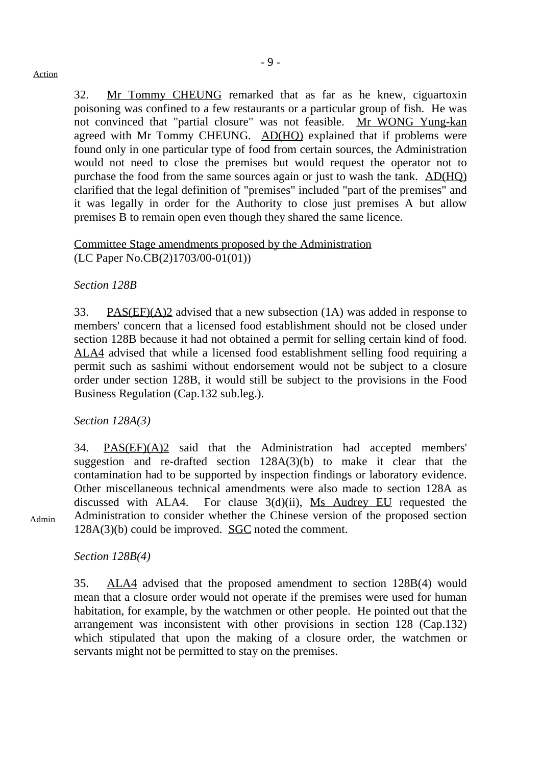32. Mr Tommy CHEUNG remarked that as far as he knew, ciguartoxin poisoning was confined to a few restaurants or a particular group of fish. He was not convinced that "partial closure" was not feasible.  $\overline{Mr}$  WONG Yung-kan agreed with Mr Tommy CHEUNG. AD(HQ) explained that if problems were found only in one particular type of food from certain sources, the Administration would not need to close the premises but would request the operator not to purchase the food from the same sources again or just to wash the tank. AD(HQ) clarified that the legal definition of "premises" included "part of the premises" and it was legally in order for the Authority to close just premises A but allow premises B to remain open even though they shared the same licence.

## Committee Stage amendments proposed by the Administration (LC Paper No.CB(2)1703/00-01(01))

## *Section 128B*

33. PAS(EF)(A)2 advised that a new subsection (1A) was added in response to members' concern that a licensed food establishment should not be closed under section 128B because it had not obtained a permit for selling certain kind of food. ALA4 advised that while a licensed food establishment selling food requiring a permit such as sashimi without endorsement would not be subject to a closure order under section 128B, it would still be subject to the provisions in the Food Business Regulation (Cap.132 sub.leg.).

*Section 128A(3)*

34. PAS(EF)(A)2 said that the Administration had accepted members' suggestion and re-drafted section 128A(3)(b) to make it clear that the contamination had to be supported by inspection findings or laboratory evidence. Other miscellaneous technical amendments were also made to section 128A as discussed with ALA4. For clause 3(d)(ii), Ms Audrey EU requested the Administration to consider whether the Chinese version of the proposed section 128A(3)(b) could be improved. SGC noted the comment.

Admin

*Section 128B(4)*

35. ALA4 advised that the proposed amendment to section 128B(4) would mean that a closure order would not operate if the premises were used for human habitation, for example, by the watchmen or other people. He pointed out that the arrangement was inconsistent with other provisions in section 128 (Cap.132) which stipulated that upon the making of a closure order, the watchmen or servants might not be permitted to stay on the premises.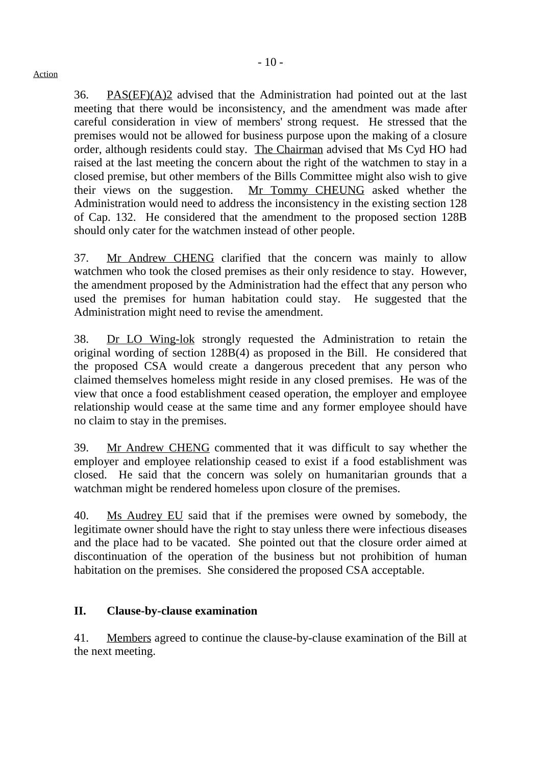36. PAS(EF)(A)2 advised that the Administration had pointed out at the last meeting that there would be inconsistency, and the amendment was made after careful consideration in view of members' strong request. He stressed that the premises would not be allowed for business purpose upon the making of a closure order, although residents could stay. The Chairman advised that Ms Cyd HO had raised at the last meeting the concern about the right of the watchmen to stay in a

closed premise, but other members of the Bills Committee might also wish to give their views on the suggestion. Mr Tommy CHEUNG asked whether the Administration would need to address the inconsistency in the existing section 128 of Cap. 132. He considered that the amendment to the proposed section 128B should only cater for the watchmen instead of other people.

37. Mr Andrew CHENG clarified that the concern was mainly to allow watchmen who took the closed premises as their only residence to stay. However, the amendment proposed by the Administration had the effect that any person who used the premises for human habitation could stay. He suggested that the Administration might need to revise the amendment.

38. Dr LO Wing-lok strongly requested the Administration to retain the original wording of section 128B(4) as proposed in the Bill. He considered that the proposed CSA would create a dangerous precedent that any person who claimed themselves homeless might reside in any closed premises. He was of the view that once a food establishment ceased operation, the employer and employee relationship would cease at the same time and any former employee should have no claim to stay in the premises.

39. Mr Andrew CHENG commented that it was difficult to say whether the employer and employee relationship ceased to exist if a food establishment was closed. He said that the concern was solely on humanitarian grounds that a watchman might be rendered homeless upon closure of the premises.

40. Ms Audrey EU said that if the premises were owned by somebody, the legitimate owner should have the right to stay unless there were infectious diseases and the place had to be vacated. She pointed out that the closure order aimed at discontinuation of the operation of the business but not prohibition of human habitation on the premises. She considered the proposed CSA acceptable.

## **II. Clause-by-clause examination**

41. Members agreed to continue the clause-by-clause examination of the Bill at the next meeting.